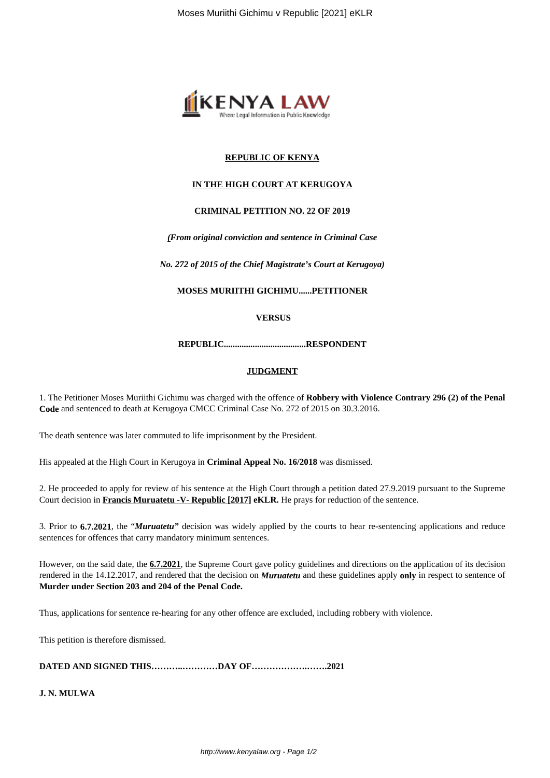

# **REPUBLIC OF KENYA**

## **IN THE HIGH COURT AT KERUGOYA**

### **CRIMINAL PETITION NO. 22 OF 2019**

*(From original conviction and sentence in Criminal Case*

*No. 272 of 2015 of the Chief Magistrate's Court at Kerugoya)*

**MOSES MURIITHI GICHIMU......PETITIONER**

**VERSUS**

**REPUBLIC.....................................RESPONDENT**

#### **JUDGMENT**

1. The Petitioner Moses Muriithi Gichimu was charged with the offence of **Robbery with Violence Contrary 296 (2) of the Penal Code** and sentenced to death at Kerugoya CMCC Criminal Case No. 272 of 2015 on 30.3.2016.

The death sentence was later commuted to life imprisonment by the President.

His appealed at the High Court in Kerugoya in **Criminal Appeal No. 16/2018** was dismissed.

2. He proceeded to apply for review of his sentence at the High Court through a petition dated 27.9.2019 pursuant to the Supreme Court decision in **Francis Muruatetu -V- Republic [2017] eKLR.** He prays for reduction of the sentence.

3. Prior to **6.7.2021**, the "*Muruatetu"* decision was widely applied by the courts to hear re-sentencing applications and reduce sentences for offences that carry mandatory minimum sentences.

However, on the said date, the **6.7.2021**, the Supreme Court gave policy guidelines and directions on the application of its decision rendered in the 14.12.2017, and rendered that the decision on *Muruatetu* and these guidelines apply **only** in respect to sentence of **Murder under Section 203 and 204 of the Penal Code.**

Thus, applications for sentence re-hearing for any other offence are excluded, including robbery with violence.

This petition is therefore dismissed.

**DATED AND SIGNED THIS………..…………DAY OF……………….…….2021**

**J. N. MULWA**